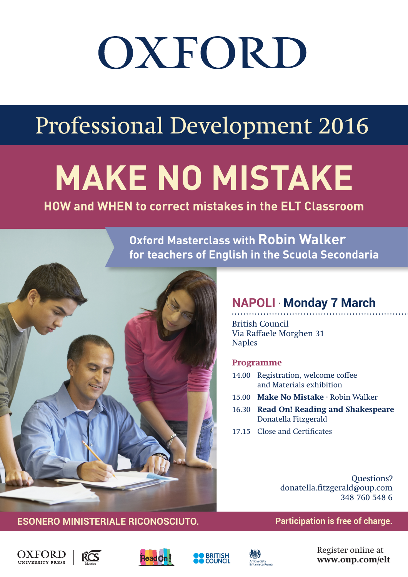# OXFORD

## Professional Development 2016

## **MAKE NO MISTAKE**

#### **HOW and WHEN to correct mistakes in the ELT Classroom**

**Oxford Masterclass with Robin Walker for teachers of English in the Scuola Secondaria**



#### **NAPOLI** . **Monday 7 March**

British Council Via Raffaele Morghen 31 Naples

#### **Programme**

- 14.00 Registration, welcome coffee and Materials exhibition
- 15.00 **Make No Mistake** · Robin Walker
- 16.30 **Read On! Reading and Shakespeare** Donatella Fitzgerald
- 17.15 Close and Certificates

Questions? donatella.fitzgerald@oup.com 348 760 548 6

#### **ESONERO MINISTERIALE RICONOSCIUTO. Participation is free of charge.**











Register online at **www.oup.com/elt**